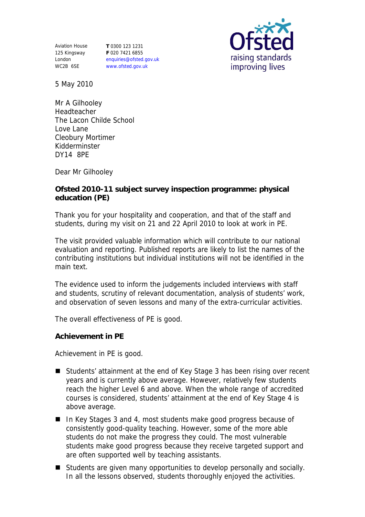Aviation House 125 Kingsway London WC2B 6SE

**T** 0300 123 1231 **F** 020 7421 6855 enquiries@ofsted.gov.uk www.ofsted.gov.uk



5 May 2010

Mr A Gilhooley Headteacher The Lacon Childe School Love Lane Cleobury Mortimer Kidderminster DY14 8PE

Dear Mr Gilhooley

**Ofsted 2010-11 subject survey inspection programme: physical education (PE)**

Thank you for your hospitality and cooperation, and that of the staff and students, during my visit on 21 and 22 April 2010 to look at work in PE.

The visit provided valuable information which will contribute to our national evaluation and reporting. Published reports are likely to list the names of the contributing institutions but individual institutions will not be identified in the main text.

The evidence used to inform the judgements included interviews with staff and students, scrutiny of relevant documentation, analysis of students' work, and observation of seven lessons and many of the extra-curricular activities.

The overall effectiveness of PE is good.

**Achievement in PE**

Achievement in PE is good.

- Students' attainment at the end of Key Stage 3 has been rising over recent years and is currently above average. However, relatively few students reach the higher Level 6 and above. When the whole range of accredited courses is considered, students' attainment at the end of Key Stage 4 is above average.
- In Key Stages 3 and 4, most students make good progress because of consistently good-quality teaching. However, some of the more able students do not make the progress they could. The most vulnerable students make good progress because they receive targeted support and are often supported well by teaching assistants.
- Students are given many opportunities to develop personally and socially. In all the lessons observed, students thoroughly enjoyed the activities.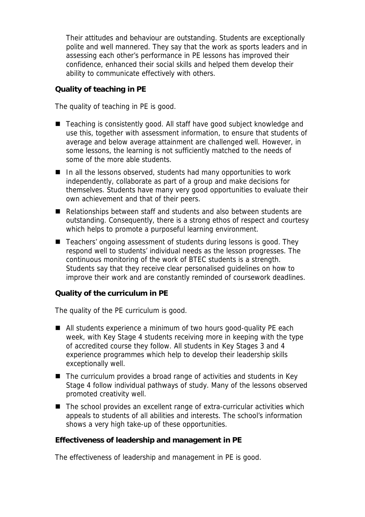Their attitudes and behaviour are outstanding. Students are exceptionally polite and well mannered. They say that the work as sports leaders and in assessing each other's performance in PE lessons has improved their confidence, enhanced their social skills and helped them develop their ability to communicate effectively with others.

**Quality of teaching in PE**

The quality of teaching in PE is good.

- Teaching is consistently good. All staff have good subject knowledge and use this, together with assessment information, to ensure that students of average and below average attainment are challenged well. However, in some lessons, the learning is not sufficiently matched to the needs of some of the more able students.
- In all the lessons observed, students had many opportunities to work independently, collaborate as part of a group and make decisions for themselves. Students have many very good opportunities to evaluate their own achievement and that of their peers.
- Relationships between staff and students and also between students are outstanding. Consequently, there is a strong ethos of respect and courtesy which helps to promote a purposeful learning environment.
- Teachers' ongoing assessment of students during lessons is good. They respond well to students' individual needs as the lesson progresses. The continuous monitoring of the work of BTEC students is a strength. Students say that they receive clear personalised guidelines on how to improve their work and are constantly reminded of coursework deadlines.

## **Quality of the curriculum in PE**

The quality of the PE curriculum is good.

- All students experience a minimum of two hours good-quality PE each week, with Key Stage 4 students receiving more in keeping with the type of accredited course they follow. All students in Key Stages 3 and 4 experience programmes which help to develop their leadership skills exceptionally well.
- The curriculum provides a broad range of activities and students in Key Stage 4 follow individual pathways of study. Many of the lessons observed promoted creativity well.
- The school provides an excellent range of extra-curricular activities which appeals to students of all abilities and interests. The school's information shows a very high take-up of these opportunities.

**Effectiveness of leadership and management in PE**

The effectiveness of leadership and management in PE is good.